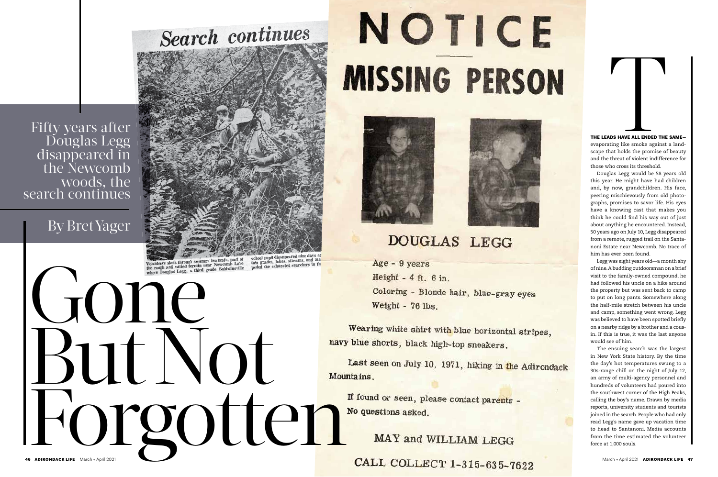Fifty years after Douglas Legg disappeared in the Newcomb woods, the<br>search continues

But Not

school pupil disappeared nine days age<br>tain grades, lakes, streams, and mar-<br>peded the exhausted searchers in the

# NOTICE **MISSING PERSON**





## **DOUGLAS LEGG**

Age - 9 years Height -  $4$  ft.  $6$  in. Coloring - Blonde hair, blue-gray eyes Weight - 76 lbs.

Wearing white shirt with blue horizontal stripes, navy blue shorts, black high-top sneakers.

Last seen on July 10, 1971, hiking in the Adirondack Mountains.

MAY and WILLIAM LEGG

MAY and WILLIAM LEGG

CALL COLLECT 1-315-635-7622



## By Bret Yager



Volunteers slosh through swampy lowlands, part of<br>the rough and varied terrain near Newcomb Lake<br>where Douglas Legg, a third grade Baldwinsville

THE LEADS HAVE ALL ENDED THE SAME evaporating like smoke against a land scape that holds the promise of beauty and the threat of violent indifference for those who cross its threshold.

Douglas Legg would be 58 years old this year. He might have had children and, by now, grandchildren. His face, peering mischievously from old photo graphs, promises to savor life. His eyes have a knowing cast that makes you think he could find his way out of just about anything he encountered. Instead, 50 years ago on July 10, Legg disappeared from a remote, rugged trail on the Santa noni Estate near Newcomb. No trace of him has ever been found.

Legg was eight years old—a month shy of nine. A budding outdoorsman on a brief visit to the family-owned compound, he had followed his uncle on a hike around the property but was sent back to camp to put on long pants. Somewhere along the half-mile stretch between his uncle and camp, something went wrong. Legg was believed to have been spotted briefly on a nearby ridge by a brother and a cous in. If this is true, it was the last anyone would see of him.

**THE LEADS HAVE ALL ENDED THE**<br>**EVALUAT ALL ENDED THE**<br>**EVALUAT ENDED THE**<br>**EVALUAT ENDED THE**<br>**EVALUAT EVALUAT EVALUAT EVALUAT EVALUAT EVALUAT EVALUAT SUGATOR TO THOM IS TO DOUGLY TO DUST A THOW TO PREVID THAT AND PREVIDE** The ensuing search was the largest in New York State history. By the time the day's hot temperatures swung to a 30s-range chill on the night of July 12, an army of multi-agency personnel and hundreds of volunteers had poured into the southwest corner of the High Peaks, calling the boy's name. Drawn by media reports, university students and tourists joined in the search. People who had only read Legg's name gave up vacation time to head to Santanoni. Media accounts from the time estimated the volunteer force at 1,000 souls.